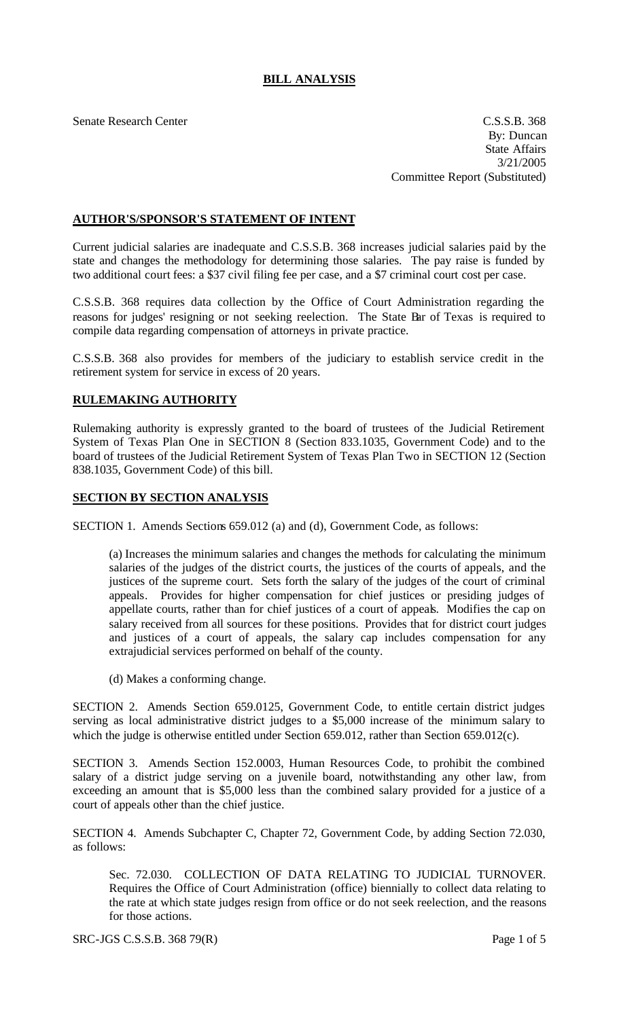## **BILL ANALYSIS**

Senate Research Center C.S.S.B. 368 By: Duncan State Affairs 3/21/2005 Committee Report (Substituted)

## **AUTHOR'S/SPONSOR'S STATEMENT OF INTENT**

Current judicial salaries are inadequate and C.S.S.B. 368 increases judicial salaries paid by the state and changes the methodology for determining those salaries. The pay raise is funded by two additional court fees: a \$37 civil filing fee per case, and a \$7 criminal court cost per case.

C.S.S.B. 368 requires data collection by the Office of Court Administration regarding the reasons for judges' resigning or not seeking reelection. The State Bar of Texas is required to compile data regarding compensation of attorneys in private practice.

C.S.S.B. 368 also provides for members of the judiciary to establish service credit in the retirement system for service in excess of 20 years.

## **RULEMAKING AUTHORITY**

Rulemaking authority is expressly granted to the board of trustees of the Judicial Retirement System of Texas Plan One in SECTION 8 (Section 833.1035, Government Code) and to the board of trustees of the Judicial Retirement System of Texas Plan Two in SECTION 12 (Section 838.1035, Government Code) of this bill.

## **SECTION BY SECTION ANALYSIS**

SECTION 1. Amends Sections 659.012 (a) and (d), Government Code, as follows:

(a) Increases the minimum salaries and changes the methods for calculating the minimum salaries of the judges of the district courts, the justices of the courts of appeals, and the justices of the supreme court. Sets forth the salary of the judges of the court of criminal appeals. Provides for higher compensation for chief justices or presiding judges of appellate courts, rather than for chief justices of a court of appeals. Modifies the cap on salary received from all sources for these positions. Provides that for district court judges and justices of a court of appeals, the salary cap includes compensation for any extrajudicial services performed on behalf of the county.

(d) Makes a conforming change.

SECTION 2. Amends Section 659.0125, Government Code, to entitle certain district judges serving as local administrative district judges to a \$5,000 increase of the minimum salary to which the judge is otherwise entitled under Section 659.012, rather than Section 659.012(c).

SECTION 3. Amends Section 152.0003, Human Resources Code, to prohibit the combined salary of a district judge serving on a juvenile board, notwithstanding any other law, from exceeding an amount that is \$5,000 less than the combined salary provided for a justice of a court of appeals other than the chief justice.

SECTION 4. Amends Subchapter C, Chapter 72, Government Code, by adding Section 72.030, as follows:

Sec. 72.030. COLLECTION OF DATA RELATING TO JUDICIAL TURNOVER. Requires the Office of Court Administration (office) biennially to collect data relating to the rate at which state judges resign from office or do not seek reelection, and the reasons for those actions.

SRC-JGS C.S.S.B. 368 79(R) Page 1 of 5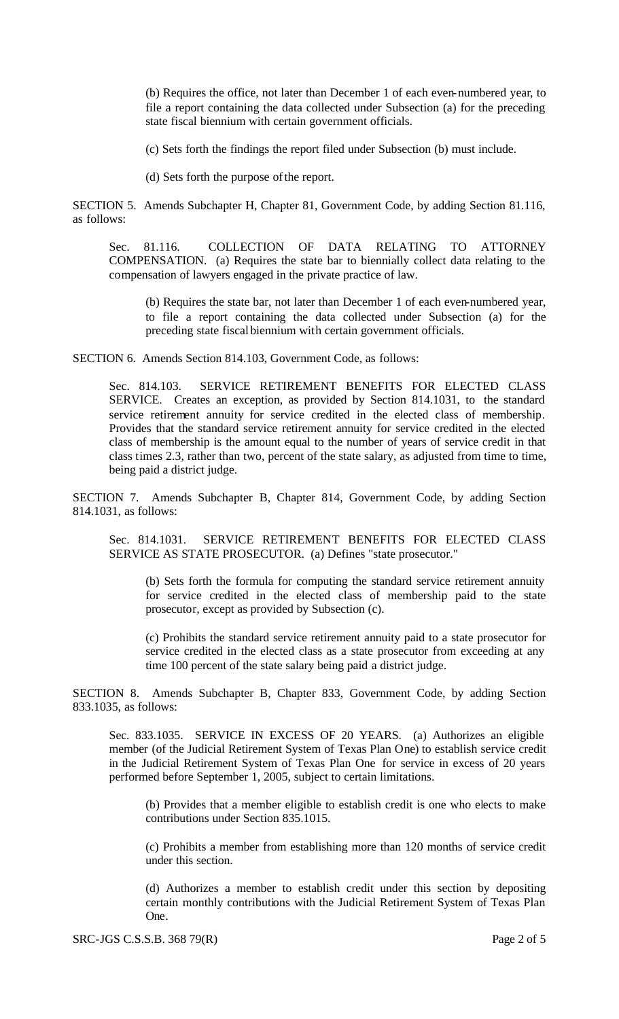(b) Requires the office, not later than December 1 of each even-numbered year, to file a report containing the data collected under Subsection (a) for the preceding state fiscal biennium with certain government officials.

(c) Sets forth the findings the report filed under Subsection (b) must include.

(d) Sets forth the purpose of the report.

SECTION 5. Amends Subchapter H, Chapter 81, Government Code, by adding Section 81.116, as follows:

Sec. 81.116. COLLECTION OF DATA RELATING TO ATTORNEY COMPENSATION. (a) Requires the state bar to biennially collect data relating to the compensation of lawyers engaged in the private practice of law.

(b) Requires the state bar, not later than December 1 of each even-numbered year, to file a report containing the data collected under Subsection (a) for the preceding state fiscal biennium with certain government officials.

SECTION 6. Amends Section 814.103, Government Code, as follows:

Sec. 814.103. SERVICE RETIREMENT BENEFITS FOR ELECTED CLASS SERVICE. Creates an exception, as provided by Section 814.1031, to the standard service retirement annuity for service credited in the elected class of membership. Provides that the standard service retirement annuity for service credited in the elected class of membership is the amount equal to the number of years of service credit in that class times 2.3, rather than two, percent of the state salary, as adjusted from time to time, being paid a district judge.

SECTION 7. Amends Subchapter B, Chapter 814, Government Code, by adding Section 814.1031, as follows:

Sec. 814.1031. SERVICE RETIREMENT BENEFITS FOR ELECTED CLASS SERVICE AS STATE PROSECUTOR. (a) Defines "state prosecutor."

(b) Sets forth the formula for computing the standard service retirement annuity for service credited in the elected class of membership paid to the state prosecutor, except as provided by Subsection (c).

(c) Prohibits the standard service retirement annuity paid to a state prosecutor for service credited in the elected class as a state prosecutor from exceeding at any time 100 percent of the state salary being paid a district judge.

SECTION 8. Amends Subchapter B, Chapter 833, Government Code, by adding Section 833.1035, as follows:

Sec. 833.1035. SERVICE IN EXCESS OF 20 YEARS. (a) Authorizes an eligible member (of the Judicial Retirement System of Texas Plan One) to establish service credit in the Judicial Retirement System of Texas Plan One for service in excess of 20 years performed before September 1, 2005, subject to certain limitations.

(b) Provides that a member eligible to establish credit is one who elects to make contributions under Section 835.1015.

(c) Prohibits a member from establishing more than 120 months of service credit under this section.

(d) Authorizes a member to establish credit under this section by depositing certain monthly contributions with the Judicial Retirement System of Texas Plan One.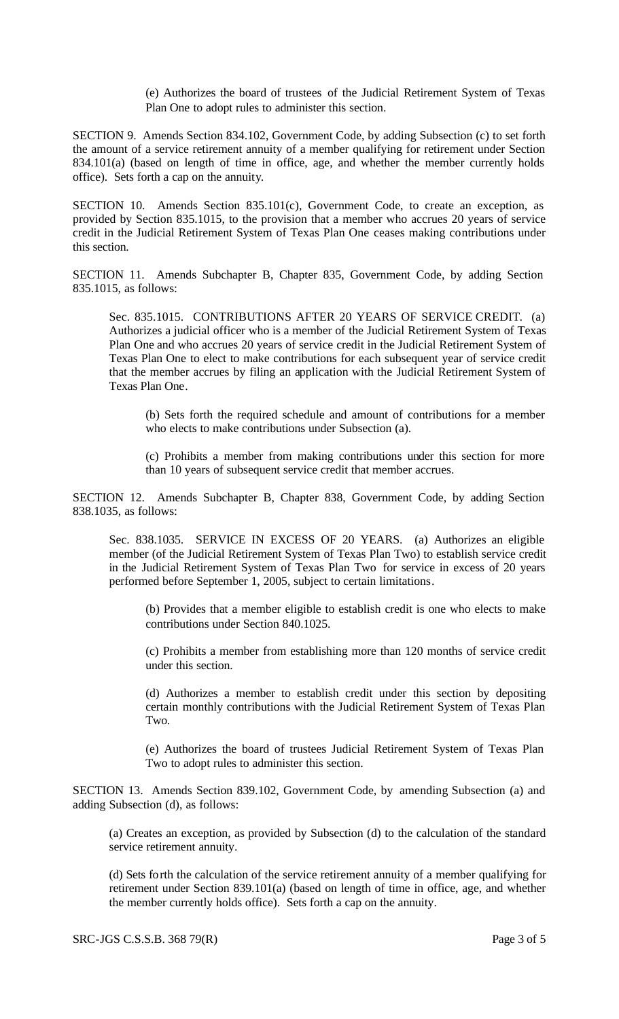(e) Authorizes the board of trustees of the Judicial Retirement System of Texas Plan One to adopt rules to administer this section.

SECTION 9. Amends Section 834.102, Government Code, by adding Subsection (c) to set forth the amount of a service retirement annuity of a member qualifying for retirement under Section 834.101(a) (based on length of time in office, age, and whether the member currently holds office). Sets forth a cap on the annuity.

SECTION 10. Amends Section 835.101(c), Government Code, to create an exception, as provided by Section 835.1015, to the provision that a member who accrues 20 years of service credit in the Judicial Retirement System of Texas Plan One ceases making contributions under this section.

SECTION 11. Amends Subchapter B, Chapter 835, Government Code, by adding Section 835.1015, as follows:

Sec. 835.1015. CONTRIBUTIONS AFTER 20 YEARS OF SERVICE CREDIT. (a) Authorizes a judicial officer who is a member of the Judicial Retirement System of Texas Plan One and who accrues 20 years of service credit in the Judicial Retirement System of Texas Plan One to elect to make contributions for each subsequent year of service credit that the member accrues by filing an application with the Judicial Retirement System of Texas Plan One.

(b) Sets forth the required schedule and amount of contributions for a member who elects to make contributions under Subsection (a).

(c) Prohibits a member from making contributions under this section for more than 10 years of subsequent service credit that member accrues.

SECTION 12. Amends Subchapter B, Chapter 838, Government Code, by adding Section 838.1035, as follows:

Sec. 838.1035. SERVICE IN EXCESS OF 20 YEARS. (a) Authorizes an eligible member (of the Judicial Retirement System of Texas Plan Two) to establish service credit in the Judicial Retirement System of Texas Plan Two for service in excess of 20 years performed before September 1, 2005, subject to certain limitations.

(b) Provides that a member eligible to establish credit is one who elects to make contributions under Section 840.1025.

(c) Prohibits a member from establishing more than 120 months of service credit under this section.

(d) Authorizes a member to establish credit under this section by depositing certain monthly contributions with the Judicial Retirement System of Texas Plan Two.

(e) Authorizes the board of trustees Judicial Retirement System of Texas Plan Two to adopt rules to administer this section.

SECTION 13. Amends Section 839.102, Government Code, by amending Subsection (a) and adding Subsection (d), as follows:

(a) Creates an exception, as provided by Subsection (d) to the calculation of the standard service retirement annuity.

(d) Sets forth the calculation of the service retirement annuity of a member qualifying for retirement under Section 839.101(a) (based on length of time in office, age, and whether the member currently holds office). Sets forth a cap on the annuity.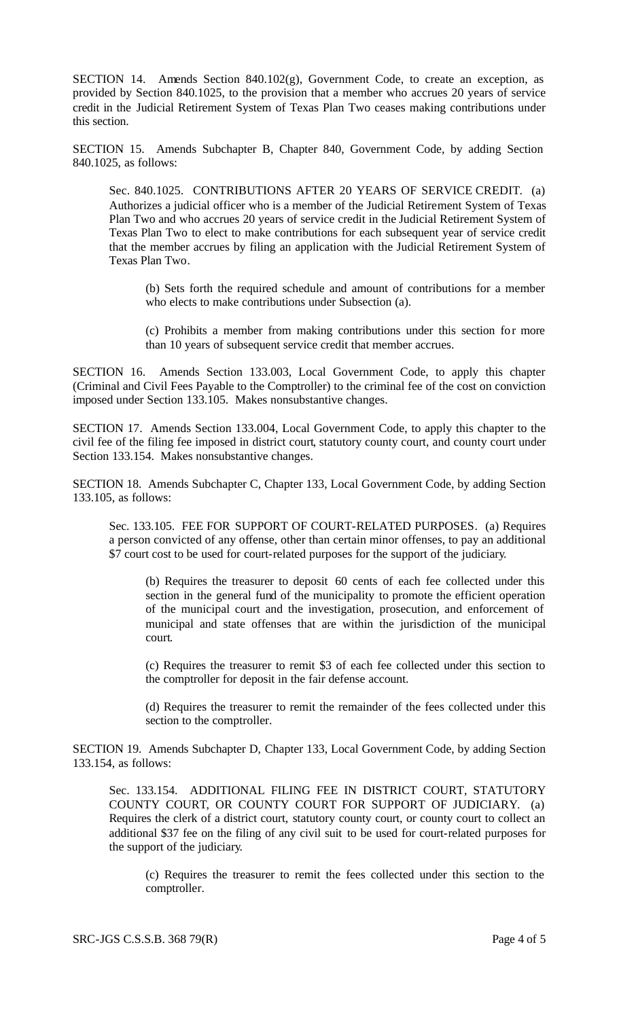SECTION 14. Amends Section 840.102(g), Government Code, to create an exception, as provided by Section 840.1025, to the provision that a member who accrues 20 years of service credit in the Judicial Retirement System of Texas Plan Two ceases making contributions under this section.

SECTION 15. Amends Subchapter B, Chapter 840, Government Code, by adding Section 840.1025, as follows:

Sec. 840.1025. CONTRIBUTIONS AFTER 20 YEARS OF SERVICE CREDIT. (a) Authorizes a judicial officer who is a member of the Judicial Retirement System of Texas Plan Two and who accrues 20 years of service credit in the Judicial Retirement System of Texas Plan Two to elect to make contributions for each subsequent year of service credit that the member accrues by filing an application with the Judicial Retirement System of Texas Plan Two.

(b) Sets forth the required schedule and amount of contributions for a member who elects to make contributions under Subsection (a).

(c) Prohibits a member from making contributions under this section for more than 10 years of subsequent service credit that member accrues.

SECTION 16. Amends Section 133.003, Local Government Code, to apply this chapter (Criminal and Civil Fees Payable to the Comptroller) to the criminal fee of the cost on conviction imposed under Section 133.105. Makes nonsubstantive changes.

SECTION 17. Amends Section 133.004, Local Government Code, to apply this chapter to the civil fee of the filing fee imposed in district court, statutory county court, and county court under Section 133.154. Makes nonsubstantive changes.

SECTION 18. Amends Subchapter C, Chapter 133, Local Government Code, by adding Section 133.105, as follows:

Sec. 133.105. FEE FOR SUPPORT OF COURT-RELATED PURPOSES. (a) Requires a person convicted of any offense, other than certain minor offenses, to pay an additional \$7 court cost to be used for court-related purposes for the support of the judiciary.

(b) Requires the treasurer to deposit 60 cents of each fee collected under this section in the general fund of the municipality to promote the efficient operation of the municipal court and the investigation, prosecution, and enforcement of municipal and state offenses that are within the jurisdiction of the municipal court.

(c) Requires the treasurer to remit \$3 of each fee collected under this section to the comptroller for deposit in the fair defense account.

(d) Requires the treasurer to remit the remainder of the fees collected under this section to the comptroller.

SECTION 19. Amends Subchapter D, Chapter 133, Local Government Code, by adding Section 133.154, as follows:

Sec. 133.154. ADDITIONAL FILING FEE IN DISTRICT COURT, STATUTORY COUNTY COURT, OR COUNTY COURT FOR SUPPORT OF JUDICIARY. (a) Requires the clerk of a district court, statutory county court, or county court to collect an additional \$37 fee on the filing of any civil suit to be used for court-related purposes for the support of the judiciary.

(c) Requires the treasurer to remit the fees collected under this section to the comptroller.